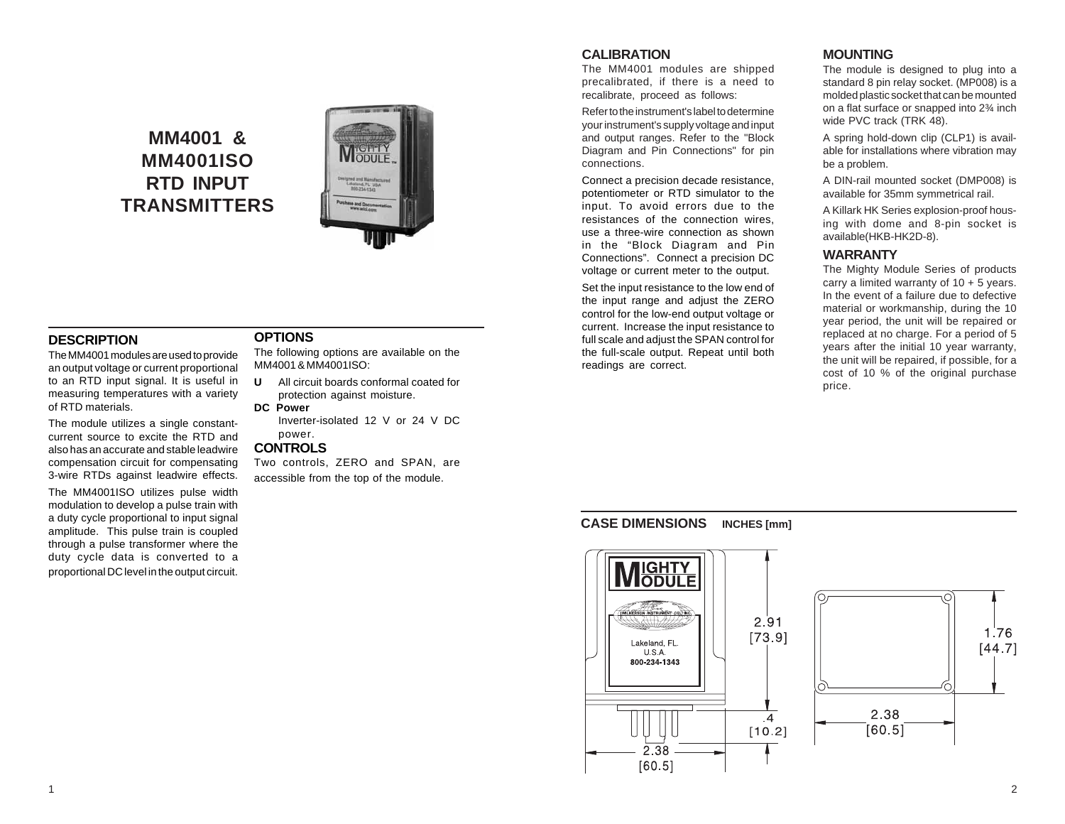# **MM4001 & MM4001ISO RTD INPUT TRANSMITTERS**



# **DESCRIPTION**

The MM4001 modules are used to provide an output voltage or current proportional to an RTD input signal. It is useful in measuring temperatures with a variety of RTD materials.

The module utilizes a single constantcurrent source to excite the RTD and also has an accurate and stable leadwire compensation circuit for compensating 3-wire RTDs against leadwire effects.

The MM4001ISO utilizes pulse width modulation to develop a pulse train with a duty cycle proportional to input signal amplitude. This pulse train is coupled through a pulse transformer where the duty cycle data is converted to a proportional DC level in the output circuit.

### **OPTIONS**

The following options are available on the MM4001 & MM4001ISO:

**U** All circuit boards conformal coated for protection against moisture.

**DC Power**

Inverter-isolated 12 V or 24 V DC power.

#### **CONTROLS**

Two controls, ZERO and SPAN, are accessible from the top of the module.

# **CALIBRATION**

The MM4001 modules are shipped precalibrated, if there is a need to recalibrate, proceed as follows:

Refer to the instrument's label to determine your instrument's supply voltage and input and output ranges. Refer to the "Block Diagram and Pin Connections" for pin connections.

Connect a precision decade resistance, potentiometer or RTD simulator to the input. To avoid errors due to the resistances of the connection wires, use a three-wire connection as shown in the "Block Diagram and Pin Connections". Connect a precision DC voltage or current meter to the output.

Set the input resistance to the low end of the input range and adjust the ZERO control for the low-end output voltage or current. Increase the input resistance to full scale and adjust the SPAN control for the full-scale output. Repeat until both readings are correct.

# **MOUNTING**

The module is designed to plug into a standard 8 pin relay socket. (MP008) is a molded plastic socket that can be mounted on a flat surface or snapped into 2¾ inch wide PVC track (TRK 48).

A spring hold-down clip (CLP1) is available for installations where vibration may be a problem.

A DIN-rail mounted socket (DMP008) is available for 35mm symmetrical rail.

A Killark HK Series explosion-proof housing with dome and 8-pin socket is available(HKB-HK2D-8).

# **WARRANTY**

The Mighty Module Series of products carry a limited warranty of  $10 + 5$  years. In the event of a failure due to defective material or workmanship, during the 10 year period, the unit will be repaired or replaced at no charge. For a period of 5 years after the initial 10 year warranty, the unit will be repaired, if possible, for a cost of 10 % of the original purchase price.

# **CASE DIMENSIONS INCHES [mm]**